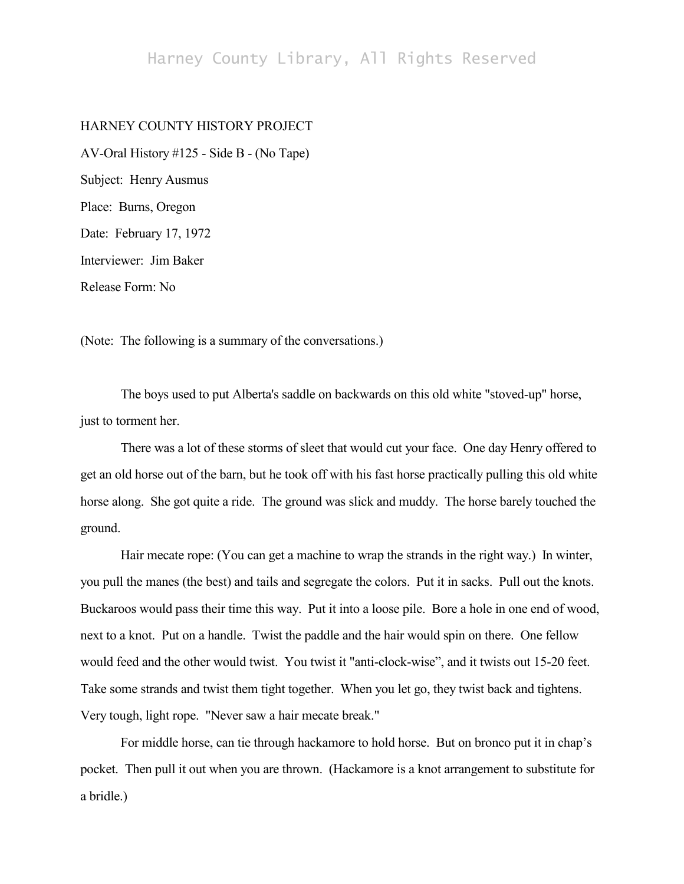## Harney County Library, All Rights Reserved

## HARNEY COUNTY HISTORY PROJECT

AV-Oral History #125 - Side B - (No Tape) Subject: Henry Ausmus Place: Burns, Oregon Date: February 17, 1972 Interviewer: Jim Baker Release Form: No

(Note: The following is a summary of the conversations.)

The boys used to put Alberta's saddle on backwards on this old white "stoved-up" horse, just to torment her.

There was a lot of these storms of sleet that would cut your face. One day Henry offered to get an old horse out of the barn, but he took off with his fast horse practically pulling this old white horse along. She got quite a ride. The ground was slick and muddy. The horse barely touched the ground.

Hair mecate rope: (You can get a machine to wrap the strands in the right way.) In winter, you pull the manes (the best) and tails and segregate the colors. Put it in sacks. Pull out the knots. Buckaroos would pass their time this way. Put it into a loose pile. Bore a hole in one end of wood, next to a knot. Put on a handle. Twist the paddle and the hair would spin on there. One fellow would feed and the other would twist. You twist it "anti-clock-wise", and it twists out 15-20 feet. Take some strands and twist them tight together. When you let go, they twist back and tightens. Very tough, light rope. "Never saw a hair mecate break."

For middle horse, can tie through hackamore to hold horse. But on bronco put it in chap's pocket. Then pull it out when you are thrown. (Hackamore is a knot arrangement to substitute for a bridle.)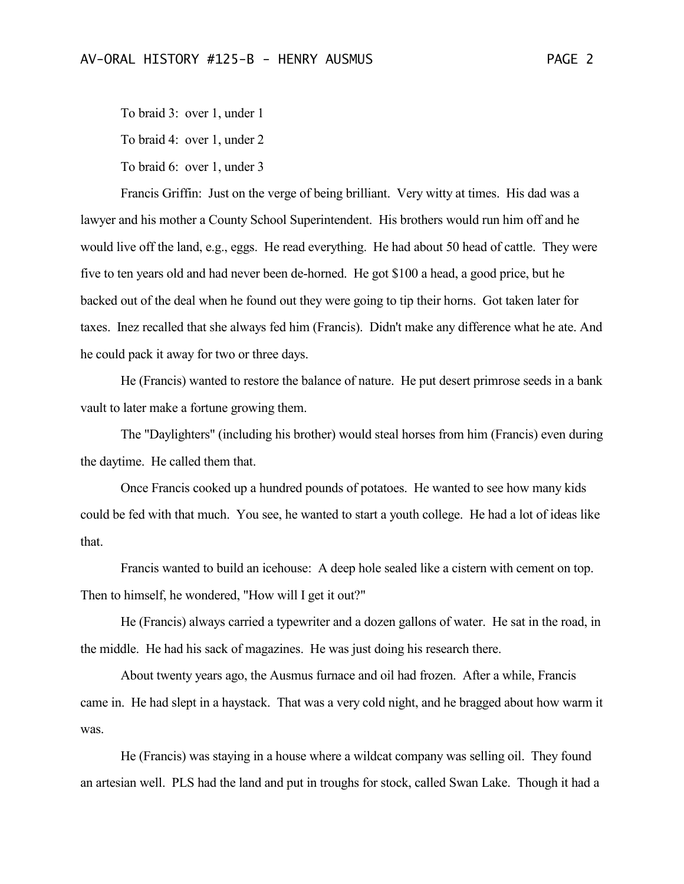To braid 3: over 1, under 1 To braid 4: over 1, under 2 To braid 6: over 1, under 3

Francis Griffin: Just on the verge of being brilliant. Very witty at times. His dad was a lawyer and his mother a County School Superintendent. His brothers would run him off and he would live off the land, e.g., eggs. He read everything. He had about 50 head of cattle. They were five to ten years old and had never been de-horned. He got \$100 a head, a good price, but he backed out of the deal when he found out they were going to tip their horns. Got taken later for taxes. Inez recalled that she always fed him (Francis). Didn't make any difference what he ate. And he could pack it away for two or three days.

He (Francis) wanted to restore the balance of nature. He put desert primrose seeds in a bank vault to later make a fortune growing them.

The "Daylighters" (including his brother) would steal horses from him (Francis) even during the daytime. He called them that.

Once Francis cooked up a hundred pounds of potatoes. He wanted to see how many kids could be fed with that much. You see, he wanted to start a youth college. He had a lot of ideas like that.

Francis wanted to build an icehouse: A deep hole sealed like a cistern with cement on top. Then to himself, he wondered, "How will I get it out?"

He (Francis) always carried a typewriter and a dozen gallons of water. He sat in the road, in the middle. He had his sack of magazines. He was just doing his research there.

About twenty years ago, the Ausmus furnace and oil had frozen. After a while, Francis came in. He had slept in a haystack. That was a very cold night, and he bragged about how warm it was.

He (Francis) was staying in a house where a wildcat company was selling oil. They found an artesian well. PLS had the land and put in troughs for stock, called Swan Lake. Though it had a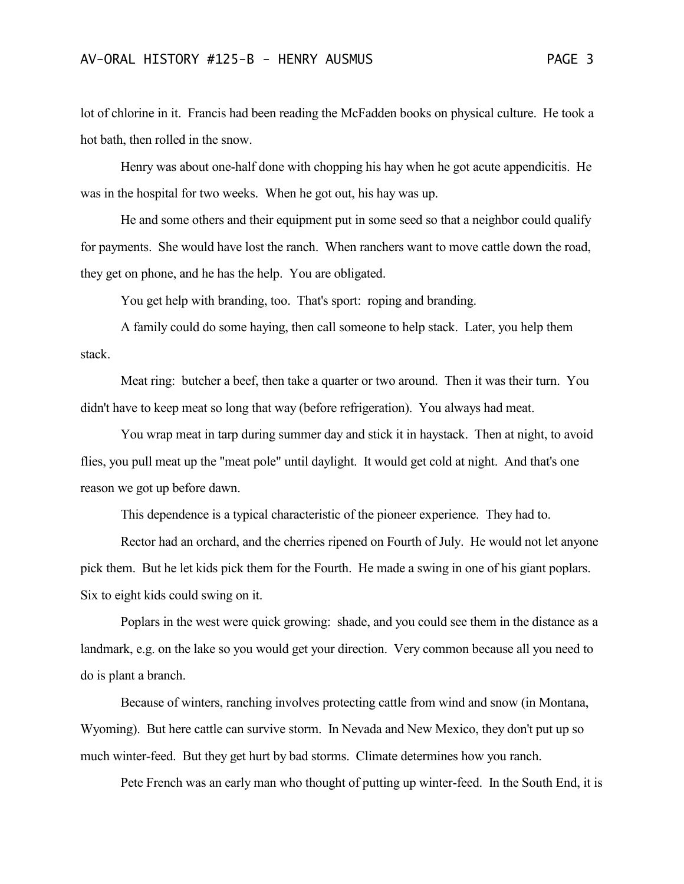lot of chlorine in it. Francis had been reading the McFadden books on physical culture. He took a hot bath, then rolled in the snow.

Henry was about one-half done with chopping his hay when he got acute appendicitis. He was in the hospital for two weeks. When he got out, his hay was up.

He and some others and their equipment put in some seed so that a neighbor could qualify for payments. She would have lost the ranch. When ranchers want to move cattle down the road, they get on phone, and he has the help. You are obligated.

You get help with branding, too. That's sport: roping and branding.

A family could do some haying, then call someone to help stack. Later, you help them stack.

Meat ring: butcher a beef, then take a quarter or two around. Then it was their turn. You didn't have to keep meat so long that way (before refrigeration). You always had meat.

You wrap meat in tarp during summer day and stick it in haystack. Then at night, to avoid flies, you pull meat up the "meat pole" until daylight. It would get cold at night. And that's one reason we got up before dawn.

This dependence is a typical characteristic of the pioneer experience. They had to.

Rector had an orchard, and the cherries ripened on Fourth of July. He would not let anyone pick them. But he let kids pick them for the Fourth. He made a swing in one of his giant poplars. Six to eight kids could swing on it.

Poplars in the west were quick growing: shade, and you could see them in the distance as a landmark, e.g. on the lake so you would get your direction. Very common because all you need to do is plant a branch.

Because of winters, ranching involves protecting cattle from wind and snow (in Montana, Wyoming). But here cattle can survive storm. In Nevada and New Mexico, they don't put up so much winter-feed. But they get hurt by bad storms. Climate determines how you ranch.

Pete French was an early man who thought of putting up winter-feed. In the South End, it is